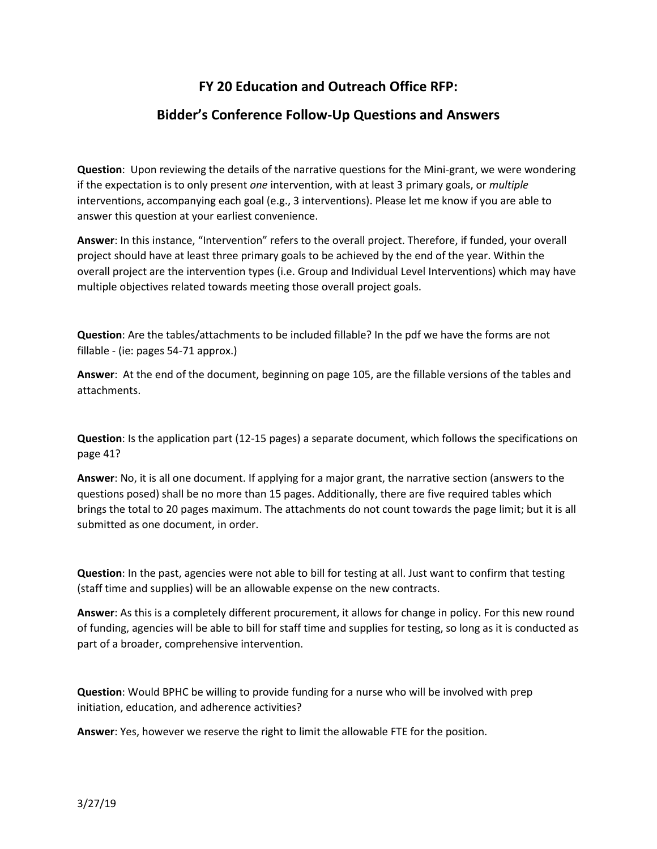## **FY 20 Education and Outreach Office RFP:**

## **Bidder's Conference Follow-Up Questions and Answers**

**Question**: Upon reviewing the details of the narrative questions for the Mini-grant, we were wondering if the expectation is to only present *one* intervention, with at least 3 primary goals, or *multiple* interventions, accompanying each goal (e.g., 3 interventions). Please let me know if you are able to answer this question at your earliest convenience.

**Answer**: In this instance, "Intervention" refers to the overall project. Therefore, if funded, your overall project should have at least three primary goals to be achieved by the end of the year. Within the overall project are the intervention types (i.e. Group and Individual Level Interventions) which may have multiple objectives related towards meeting those overall project goals.

**Question**: Are the tables/attachments to be included fillable? In the pdf we have the forms are not fillable - (ie: pages 54-71 approx.)

**Answer**: At the end of the document, beginning on page 105, are the fillable versions of the tables and attachments.

**Question**: Is the application part (12-15 pages) a separate document, which follows the specifications on page 41?

**Answer**: No, it is all one document. If applying for a major grant, the narrative section (answers to the questions posed) shall be no more than 15 pages. Additionally, there are five required tables which brings the total to 20 pages maximum. The attachments do not count towards the page limit; but it is all submitted as one document, in order.

**Question**: In the past, agencies were not able to bill for testing at all. Just want to confirm that testing (staff time and supplies) will be an allowable expense on the new contracts.

**Answer**: As this is a completely different procurement, it allows for change in policy. For this new round of funding, agencies will be able to bill for staff time and supplies for testing, so long as it is conducted as part of a broader, comprehensive intervention.

**Question**: Would BPHC be willing to provide funding for a nurse who will be involved with prep initiation, education, and adherence activities?

**Answer**: Yes, however we reserve the right to limit the allowable FTE for the position.